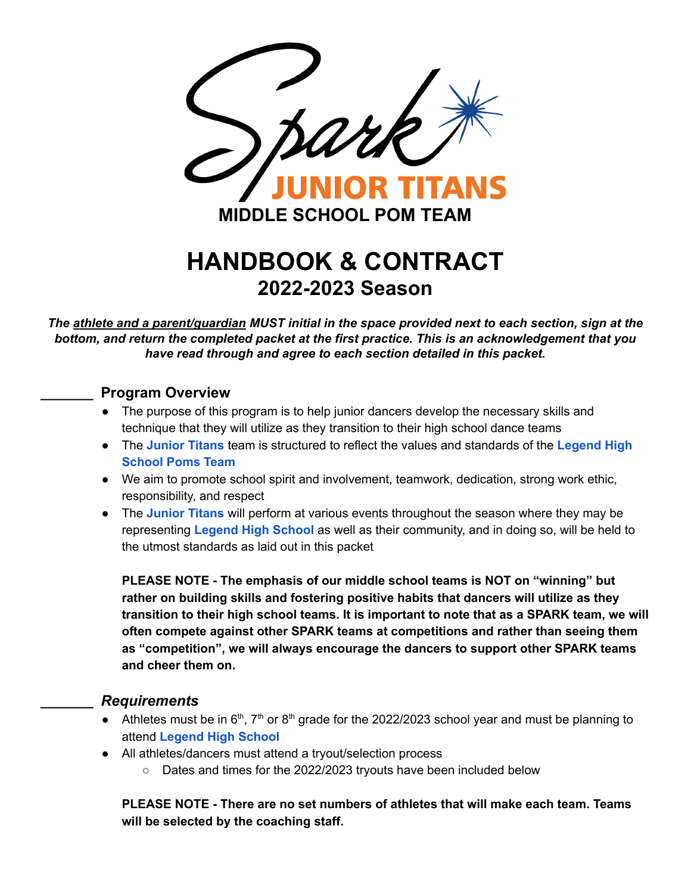

# **HANDBOOK & CONTRACT 2022-2023 Season**

The athlete and a parent/guardian MUST initial in the space provided next to each section, sign at the *bottom, and return the completed packet at the first practice. This is an acknowledgement that you have read through and agree to each section detailed in this packet.*

#### **\_\_\_\_\_\_\_ Program Overview**

- The purpose of this program is to help junior dancers develop the necessary skills and technique that they will utilize as they transition to their high school dance teams
- The **Junior Titans** team is structured to reflect the values and standards of the **Legend High School Poms Team**
- We aim to promote school spirit and involvement, teamwork, dedication, strong work ethic, responsibility, and respect
- The **Junior Titans** will perform at various events throughout the season where they may be representing **Legend High School** as well as their community, and in doing so, will be held to the utmost standards as laid out in this packet

**PLEASE NOTE - The emphasis of our middle school teams is NOT on "winning" but rather on building skills and fostering positive habits that dancers will utilize as they transition to their high school teams. It is important to note that as a SPARK team, we will often compete against other SPARK teams at competitions and rather than seeing them as "competition", we will always encourage the dancers to support other SPARK teams and cheer them on.**

#### **\_\_\_\_\_\_\_** *Requirements*

- Athletes must be in  $6<sup>th</sup>$ ,  $7<sup>th</sup>$  or  $8<sup>th</sup>$  grade for the 2022/2023 school year and must be planning to attend **Legend High School**
- All athletes/dancers must attend a tryout/selection process
	- Dates and times for the 2022/2023 tryouts have been included below

**PLEASE NOTE - There are no set numbers of athletes that will make each team. Teams will be selected by the coaching staff.**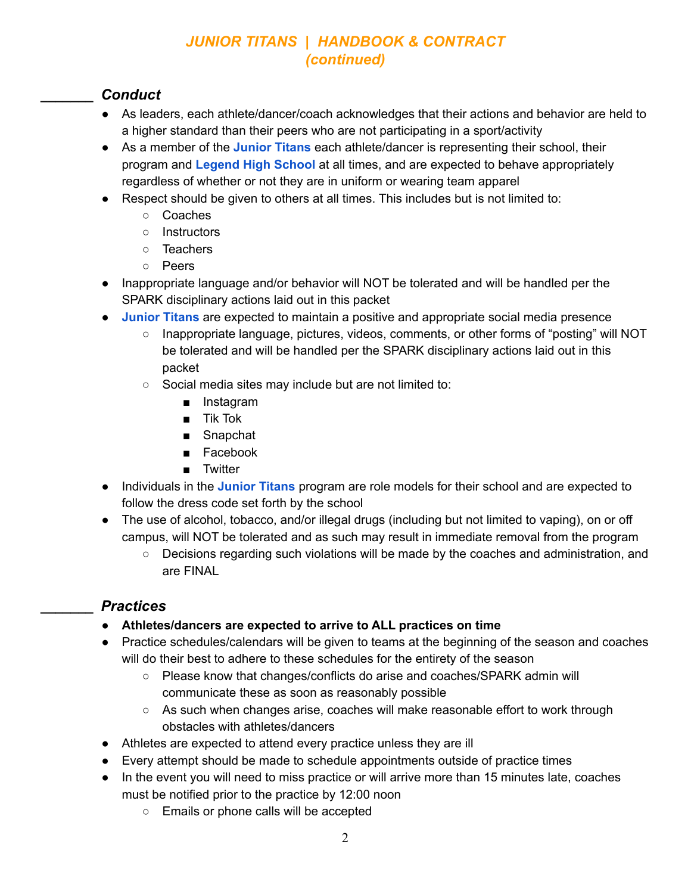#### **\_\_\_\_\_\_\_** *Conduct*

- As leaders, each athlete/dancer/coach acknowledges that their actions and behavior are held to a higher standard than their peers who are not participating in a sport/activity
- As a member of the **Junior Titans** each athlete/dancer is representing their school, their program and **Legend High School** at all times, and are expected to behave appropriately regardless of whether or not they are in uniform or wearing team apparel
- Respect should be given to others at all times. This includes but is not limited to:
	- Coaches
	- Instructors
	- Teachers
	- Peers
- Inappropriate language and/or behavior will NOT be tolerated and will be handled per the SPARK disciplinary actions laid out in this packet
- **Junior Titans** are expected to maintain a positive and appropriate social media presence
	- Inappropriate language, pictures, videos, comments, or other forms of "posting" will NOT be tolerated and will be handled per the SPARK disciplinary actions laid out in this packet
	- Social media sites may include but are not limited to:
		- Instagram
		- Tik Tok
		- Snapchat
		- Facebook
		- Twitter
- Individuals in the **Junior Titans** program are role models for their school and are expected to follow the dress code set forth by the school
- The use of alcohol, tobacco, and/or illegal drugs (including but not limited to vaping), on or off campus, will NOT be tolerated and as such may result in immediate removal from the program
	- Decisions regarding such violations will be made by the coaches and administration, and are FINAL

#### **\_\_\_\_\_\_\_** *Practices*

- **Athletes/dancers are expected to arrive to ALL practices on time**
- **●** Practice schedules/calendars will be given to teams at the beginning of the season and coaches will do their best to adhere to these schedules for the entirety of the season
	- Please know that changes/conflicts do arise and coaches/SPARK admin will communicate these as soon as reasonably possible
	- $\circ$  As such when changes arise, coaches will make reasonable effort to work through obstacles with athletes/dancers
- Athletes are expected to attend every practice unless they are ill
- Every attempt should be made to schedule appointments outside of practice times
- In the event you will need to miss practice or will arrive more than 15 minutes late, coaches must be notified prior to the practice by 12:00 noon
	- Emails or phone calls will be accepted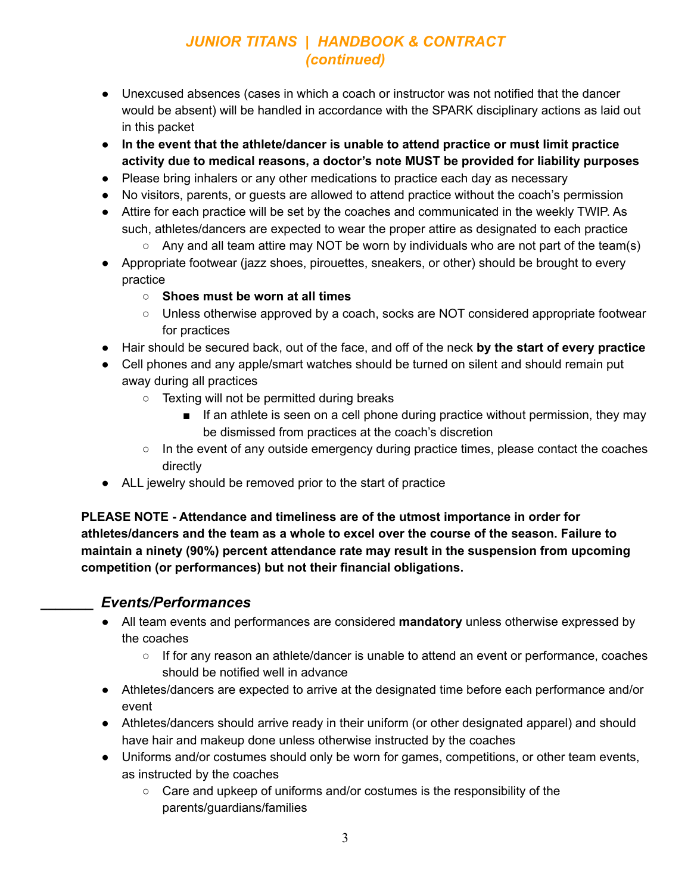- Unexcused absences (cases in which a coach or instructor was not notified that the dancer would be absent) will be handled in accordance with the SPARK disciplinary actions as laid out in this packet
- **● In the event that the athlete/dancer is unable to attend practice or must limit practice activity due to medical reasons, a doctor's note MUST be provided for liability purposes**
- Please bring inhalers or any other medications to practice each day as necessary
- No visitors, parents, or guests are allowed to attend practice without the coach's permission
- Attire for each practice will be set by the coaches and communicated in the weekly TWIP. As such, athletes/dancers are expected to wear the proper attire as designated to each practice
	- $\circ$  Any and all team attire may NOT be worn by individuals who are not part of the team(s)
- Appropriate footwear (jazz shoes, pirouettes, sneakers, or other) should be brought to every practice
	- **○ Shoes must be worn at all times**
	- Unless otherwise approved by a coach, socks are NOT considered appropriate footwear for practices
- Hair should be secured back, out of the face, and off of the neck **by the start of every practice**
- Cell phones and any apple/smart watches should be turned on silent and should remain put away during all practices
	- Texting will not be permitted during breaks
		- If an athlete is seen on a cell phone during practice without permission, they may be dismissed from practices at the coach's discretion
	- $\circ$  In the event of any outside emergency during practice times, please contact the coaches directly
- ALL jewelry should be removed prior to the start of practice

**PLEASE NOTE - Attendance and timeliness are of the utmost importance in order for athletes/dancers and the team as a whole to excel over the course of the season. Failure to maintain a ninety (90%) percent attendance rate may result in the suspension from upcoming competition (or performances) but not their financial obligations.**

#### **\_\_\_\_\_\_\_** *Events/Performances*

- All team events and performances are considered **mandatory** unless otherwise expressed by the coaches
	- If for any reason an athlete/dancer is unable to attend an event or performance, coaches should be notified well in advance
- Athletes/dancers are expected to arrive at the designated time before each performance and/or event
- Athletes/dancers should arrive ready in their uniform (or other designated apparel) and should have hair and makeup done unless otherwise instructed by the coaches
- Uniforms and/or costumes should only be worn for games, competitions, or other team events, as instructed by the coaches
	- Care and upkeep of uniforms and/or costumes is the responsibility of the parents/guardians/families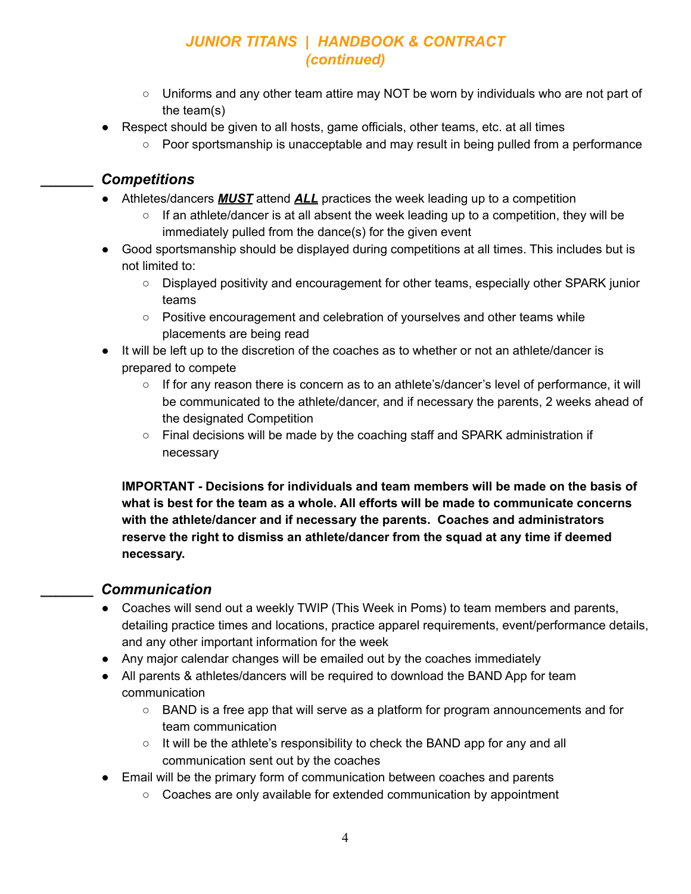- Uniforms and any other team attire may NOT be worn by individuals who are not part of the team(s)
- Respect should be given to all hosts, game officials, other teams, etc. at all times
	- Poor sportsmanship is unacceptable and may result in being pulled from a performance

#### **\_\_\_\_\_\_\_** *Competitions*

- Athletes/dancers *MUST* attend *ALL* practices the week leading up to a competition
	- $\circ$  If an athlete/dancer is at all absent the week leading up to a competition, they will be immediately pulled from the dance(s) for the given event
- Good sportsmanship should be displayed during competitions at all times. This includes but is not limited to:
	- Displayed positivity and encouragement for other teams, especially other SPARK junior teams
	- Positive encouragement and celebration of yourselves and other teams while placements are being read
- It will be left up to the discretion of the coaches as to whether or not an athlete/dancer is prepared to compete
	- If for any reason there is concern as to an athlete's/dancer's level of performance, it will be communicated to the athlete/dancer, and if necessary the parents, 2 weeks ahead of the designated Competition
	- Final decisions will be made by the coaching staff and SPARK administration if necessary

**IMPORTANT - Decisions for individuals and team members will be made on the basis of what is best for the team as a whole. All efforts will be made to communicate concerns with the athlete/dancer and if necessary the parents. Coaches and administrators reserve the right to dismiss an athlete/dancer from the squad at any time if deemed necessary.**

#### **\_\_\_\_\_\_\_** *Communication*

- Coaches will send out a weekly TWIP (This Week in Poms) to team members and parents, detailing practice times and locations, practice apparel requirements, event/performance details, and any other important information for the week
- Any major calendar changes will be emailed out by the coaches immediately
- All parents & athletes/dancers will be required to download the BAND App for team communication
	- $\circ$  BAND is a free app that will serve as a platform for program announcements and for team communication
	- It will be the athlete's responsibility to check the BAND app for any and all communication sent out by the coaches
- Email will be the primary form of communication between coaches and parents
	- Coaches are only available for extended communication by appointment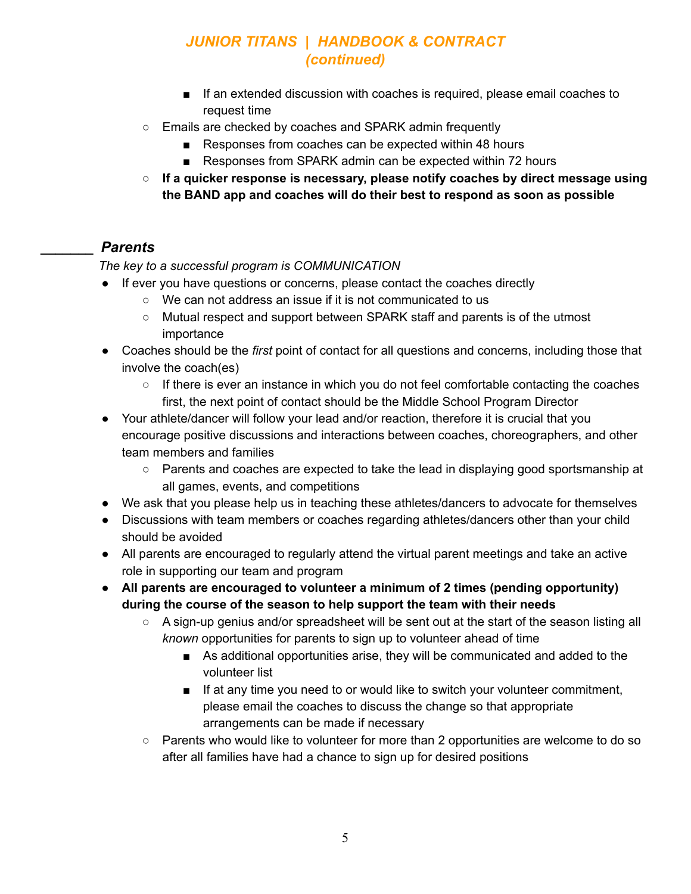- If an extended discussion with coaches is required, please email coaches to request time
- Emails are checked by coaches and SPARK admin frequently
	- Responses from coaches can be expected within 48 hours
	- Responses from SPARK admin can be expected within 72 hours
- **○ If a quicker response is necessary, please notify coaches by direct message using the BAND app and coaches will do their best to respond as soon as possible**

#### **\_\_\_\_\_\_\_** *Parents*

#### *The key to a successful program is COMMUNICATION*

- If ever you have questions or concerns, please contact the coaches directly
	- We can not address an issue if it is not communicated to us
	- Mutual respect and support between SPARK staff and parents is of the utmost importance
- Coaches should be the *first* point of contact for all questions and concerns, including those that involve the coach(es)
	- If there is ever an instance in which you do not feel comfortable contacting the coaches first, the next point of contact should be the Middle School Program Director
- Your athlete/dancer will follow your lead and/or reaction, therefore it is crucial that you encourage positive discussions and interactions between coaches, choreographers, and other team members and families
	- Parents and coaches are expected to take the lead in displaying good sportsmanship at all games, events, and competitions
- We ask that you please help us in teaching these athletes/dancers to advocate for themselves
- Discussions with team members or coaches regarding athletes/dancers other than your child should be avoided
- All parents are encouraged to regularly attend the virtual parent meetings and take an active role in supporting our team and program
- **● All parents are encouraged to volunteer a minimum of 2 times (pending opportunity) during the course of the season to help support the team with their needs**
	- $\circ$  A sign-up genius and/or spreadsheet will be sent out at the start of the season listing all *known* opportunities for parents to sign up to volunteer ahead of time
		- As additional opportunities arise, they will be communicated and added to the volunteer list
		- If at any time you need to or would like to switch your volunteer commitment, please email the coaches to discuss the change so that appropriate arrangements can be made if necessary
	- Parents who would like to volunteer for more than 2 opportunities are welcome to do so after all families have had a chance to sign up for desired positions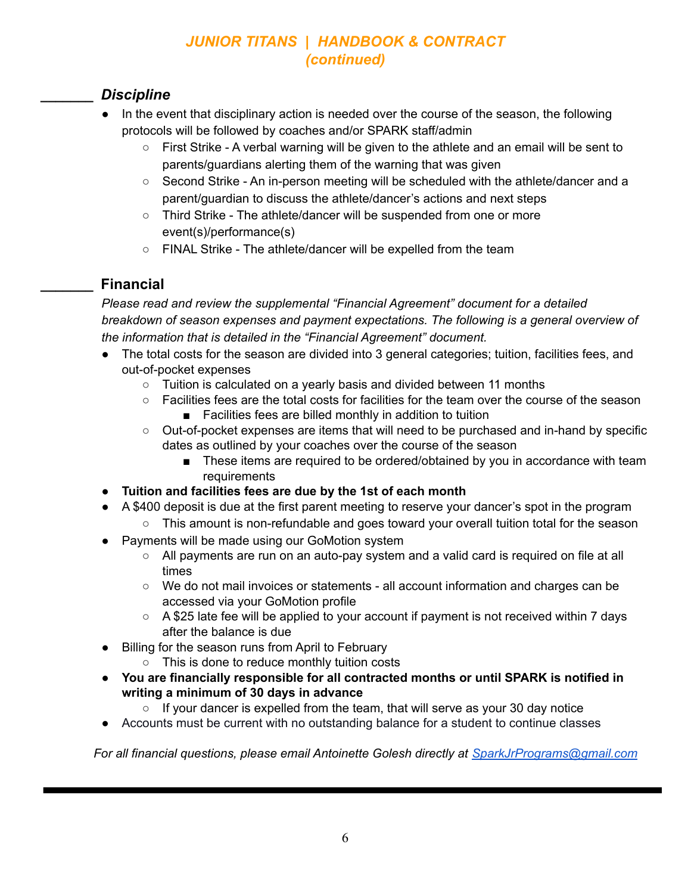#### **\_\_\_\_\_\_\_** *Discipline*

- In the event that disciplinary action is needed over the course of the season, the following protocols will be followed by coaches and/or SPARK staff/admin
	- First Strike A verbal warning will be given to the athlete and an email will be sent to parents/guardians alerting them of the warning that was given
	- Second Strike An in-person meeting will be scheduled with the athlete/dancer and a parent/guardian to discuss the athlete/dancer's actions and next steps
	- Third Strike The athlete/dancer will be suspended from one or more event(s)/performance(s)
	- FINAL Strike The athlete/dancer will be expelled from the team

### **\_\_\_\_\_\_\_ Financial**

*Please read and review the supplemental "Financial Agreement" document for a detailed breakdown of season expenses and payment expectations. The following is a general overview of the information that is detailed in the "Financial Agreement" document.*

- The total costs for the season are divided into 3 general categories; tuition, facilities fees, and out-of-pocket expenses
	- Tuition is calculated on a yearly basis and divided between 11 months
	- Facilities fees are the total costs for facilities for the team over the course of the season
		- Facilities fees are billed monthly in addition to tuition
	- Out-of-pocket expenses are items that will need to be purchased and in-hand by specific dates as outlined by your coaches over the course of the season
		- These items are required to be ordered/obtained by you in accordance with team requirements
- **Tuition and facilities fees are due by the 1st of each month**
- A \$400 deposit is due at the first parent meeting to reserve your dancer's spot in the program
	- This amount is non-refundable and goes toward your overall tuition total for the season
- Payments will be made using our GoMotion system
	- All payments are run on an auto-pay system and a valid card is required on file at all times
	- We do not mail invoices or statements all account information and charges can be accessed via your GoMotion profile
	- $\circ$  A \$25 late fee will be applied to your account if payment is not received within 7 days after the balance is due
- Billing for the season runs from April to February
	- This is done to reduce monthly tuition costs
- **You are financially responsible for all contracted months or until SPARK is notified in writing a minimum of 30 days in advance**
	- **○** If your dancer is expelled from the team, that will serve as your 30 day notice
- Accounts must be current with no outstanding balance for a student to continue classes

*For all financial questions, please email Antoinette Golesh directly at [SparkJrPrograms@gmail.com](mailto:SparkJrPrograms@gmail.com)*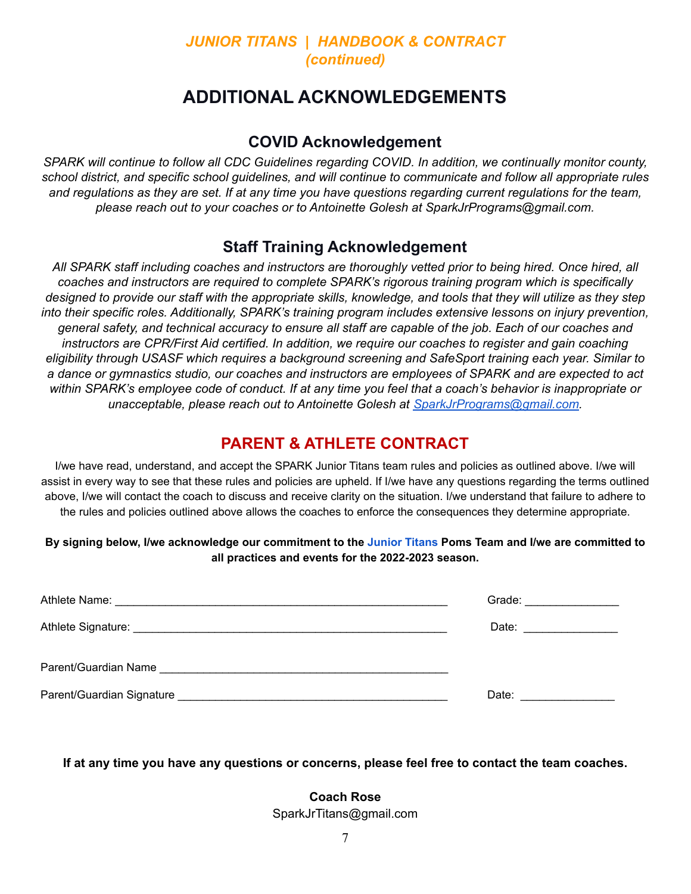## **ADDITIONAL ACKNOWLEDGEMENTS**

#### **COVID Acknowledgement**

*SPARK will continue to follow all CDC Guidelines regarding COVID. In addition, we continually monitor county,* school district, and specific school quidelines, and will continue to communicate and follow all appropriate rules and regulations as they are set. If at any time you have questions regarding current regulations for the team, *please reach out to your coaches or to Antoinette Golesh at SparkJrPrograms@gmail.com.*

### **Staff Training Acknowledgement**

All SPARK staff including coaches and instructors are thoroughly vetted prior to being hired. Once hired, all *coaches and instructors are required to complete SPARK's rigorous training program which is specifically* designed to provide our staff with the appropriate skills, knowledge, and tools that they will utilize as they step *into their specific roles. Additionally, SPARK's training program includes extensive lessons on injury prevention,* general safety, and technical accuracy to ensure all staff are capable of the job. Each of our coaches and *instructors are CPR/First Aid certified. In addition, we require our coaches to register and gain coaching eligibility through USASF which requires a background screening and SafeSport training each year. Similar to* a dance or gymnastics studio, our coaches and instructors are employees of SPARK and are expected to act within SPARK's employee code of conduct. If at any time you feel that a coach's behavior is inappropriate or *unacceptable, please reach out to Antoinette Golesh at [SparkJrPrograms@gmail.com](mailto:SparkJrPrograms@gmail.com).*

#### **PARENT & ATHLETE CONTRACT**

I/we have read, understand, and accept the SPARK Junior Titans team rules and policies as outlined above. I/we will assist in every way to see that these rules and policies are upheld. If I/we have any questions regarding the terms outlined above, I/we will contact the coach to discuss and receive clarity on the situation. I/we understand that failure to adhere to the rules and policies outlined above allows the coaches to enforce the consequences they determine appropriate.

#### By signing below, I/we acknowledge our commitment to the Junior Titans Poms Team and I/we are committed to **all practices and events for the 2022-2023 season.**

| Grade: _______________ |
|------------------------|
| Date: _______________  |
|                        |
| Date: <u>_________</u> |

**If at any time you have any questions or concerns, please feel free to contact the team coaches.**

**Coach Rose** SparkJrTitans@gmail.com